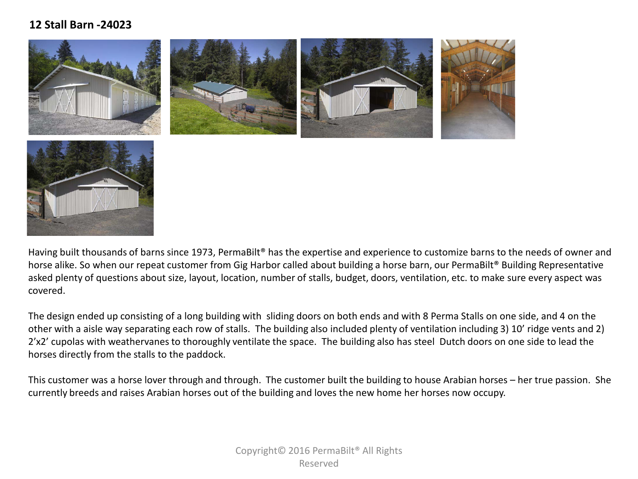## **12 Stall Barn -24023**





Having built thousands of barns since 1973, PermaBilt® has the expertise and experience to customize barns to the needs of owner and horse alike. So when our repeat customer from Gig Harbor called about building a horse barn, our PermaBilt® Building Representative asked plenty of questions about size, layout, location, number of stalls, budget, doors, ventilation, etc. to make sure every aspect was covered.

The design ended up consisting of a long building with sliding doors on both ends and with 8 Perma Stalls on one side, and 4 on the other with a aisle way separating each row of stalls. The building also included plenty of ventilation including 3) 10' ridge vents and 2) 2'x2' cupolas with weathervanes to thoroughly ventilate the space. The building also has steel Dutch doors on one side to lead the horses directly from the stalls to the paddock.

This customer was a horse lover through and through. The customer built the building to house Arabian horses – her true passion. She currently breeds and raises Arabian horses out of the building and loves the new home her horses now occupy.